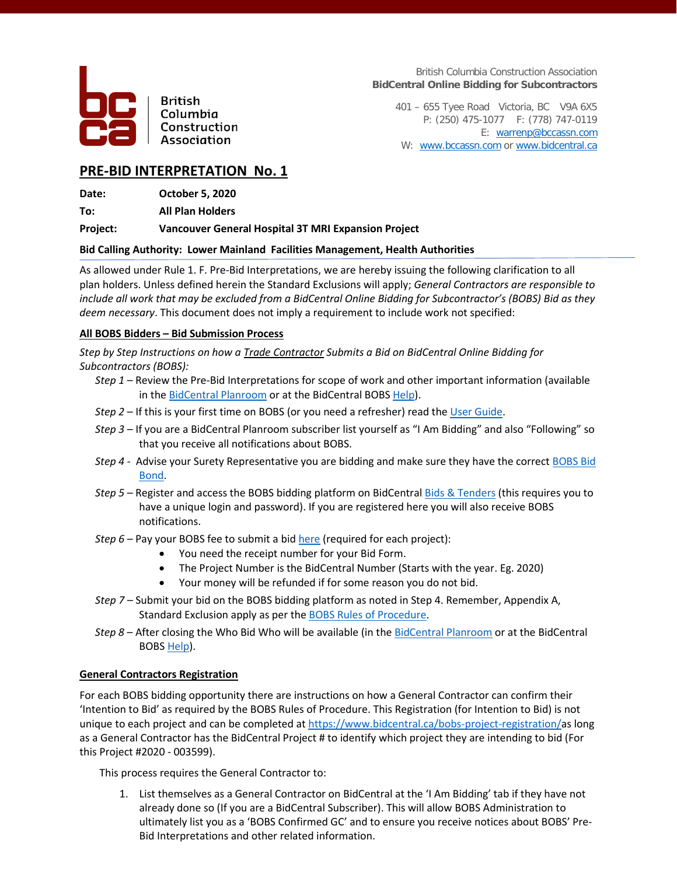

**British** Columbia Construction Association

British Columbia Construction Association **BidCentral Online Bidding for Subcontractors**

401 – 655 Tyee Road Victoria, BC V9A 6X5 P: (250) 475-1077 F: (778) 747-0119 E: [warrenp@bccassn.com](mailto:warrenp@bccassn.com) W: [www.bccassn.com](http://www.bccassn.com/) or [www.bidcentral.ca](http://www.bidcentral.ca/)

## **PRE-BID INTERPRETATION No. 1**

**Date: October 5, 2020**

**To: All Plan Holders**

**Project: Vancouver General Hospital 3T MRI Expansion Project**

## **Bid Calling Authority: Lower Mainland Facilities Management, Health Authorities**

As allowed under Rule 1. F. Pre-Bid Interpretations, we are hereby issuing the following clarification to all plan holders. Unless defined herein the Standard Exclusions will apply; *General Contractors are responsible to include all work that may be excluded from a BidCentral Online Bidding for Subcontractor's (BOBS) Bid as they deem necessary*. This document does not imply a requirement to include work not specified:

## **All BOBS Bidders – Bid Submission Process**

*Step by Step Instructions on how a Trade Contractor Submits a Bid on BidCentral Online Bidding for Subcontractors (BOBS):*

- *Step 1 –* Review the Pre-Bid Interpretations for scope of work and other important information (available in the **BidCentral Planroom** or at the BidCentral BOB[S Help\)](https://www.bidcentral.ca/online-bidding-for-subcontractors/).
- *Step 2 –* If this is your first time on BOBS (or you need a refresher) read the [User Guide.](https://www.bidcentral.ca/wp-content/uploads/2020/08/BOBS-Training-Guide-Version-1.1pdf.pdf)
- *Step 3 –* If you are a BidCentral Planroom subscriber list yourself as "I Am Bidding" and also "Following" so that you receive all notifications about BOBS.
- *Step 4 -* Advise your Surety Representative you are bidding and make sure they have the correc[t BOBS Bid](https://www.bidcentral.ca/help/bobs-bond-form/)  [Bond.](https://www.bidcentral.ca/help/bobs-bond-form/)
- *Step 5 –* Register and access the BOBS bidding platform on BidCentral [Bids & Tenders](https://bidcentral.bidsandtenders.ca/) (this requires you to have a unique login and password). If you are registered here you will also receive BOBS notifications.
- *Step 6 –* Pay your BOBS fee to submit a bid [here](https://www.bidcentral.ca/bobs-tc-project-registration/) (required for each project):
	- You need the receipt number for your Bid Form.
	- The Project Number is the BidCentral Number (Starts with the year. Eg. 2020)
	- Your money will be refunded if for some reason you do not bid.
- *Step 7 –* Submit your bid on the BOBS bidding platform as noted in Step 4. Remember, Appendix A, Standard Exclusion apply as per th[e BOBS Rules of Procedure.](https://www.bidcentral.ca/help/bobs-rules-of-procedure/)
- *Step 8 –* After closing the Who Bid Who will be available (in the [BidCentral Planroom](https://www.bidcentral.ca/login/) or at the BidCentral BOB[S Help\)](https://www.bidcentral.ca/online-bidding-for-subcontractors/).

#### **General Contractors Registration**

For each BOBS bidding opportunity there are instructions on how a General Contractor can confirm their 'Intention to Bid' as required by the BOBS Rules of Procedure. This Registration (for Intention to Bid) is not unique to each project and can be completed at [https://www.bidcentral.ca/bobs-project-registration/a](https://www.bidcentral.ca/bobs-project-registration/)s long as a General Contractor has the BidCentral Project # to identify which project they are intending to bid (For this Project #2020 - 003599).

This process requires the General Contractor to:

1. List themselves as a General Contractor on BidCentral at the 'I Am Bidding' tab if they have not already done so (If you are a BidCentral Subscriber). This will allow BOBS Administration to ultimately list you as a 'BOBS Confirmed GC' and to ensure you receive notices about BOBS' Pre-Bid Interpretations and other related information.